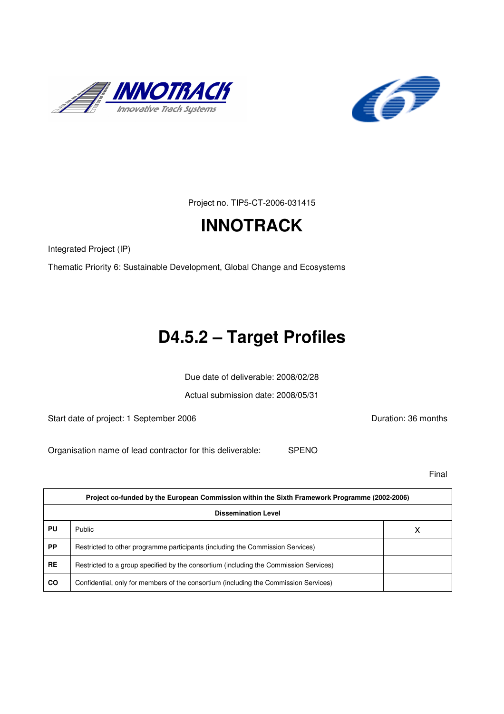



Project no. TIP5-CT-2006-031415

# **INNOTRACK**

Integrated Project (IP)

Thematic Priority 6: Sustainable Development, Global Change and Ecosystems

# **D4.5.2 – Target Profiles**

Due date of deliverable: 2008/02/28

Actual submission date: 2008/05/31

Start date of project: 1 September 2006 **Duration: 36 months** 

Organisation name of lead contractor for this deliverable: SPENO

Final

| Project co-funded by the European Commission within the Sixth Framework Programme (2002-2006) |                                                                                       |   |  |
|-----------------------------------------------------------------------------------------------|---------------------------------------------------------------------------------------|---|--|
| <b>Dissemination Level</b>                                                                    |                                                                                       |   |  |
| PU                                                                                            | Public                                                                                | х |  |
| <b>PP</b>                                                                                     | Restricted to other programme participants (including the Commission Services)        |   |  |
| <b>RE</b>                                                                                     | Restricted to a group specified by the consortium (including the Commission Services) |   |  |
| <b>CO</b>                                                                                     | Confidential, only for members of the consortium (including the Commission Services)  |   |  |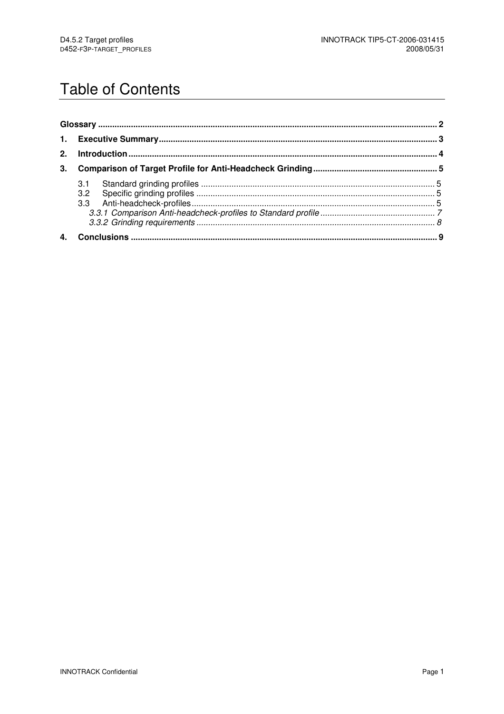# **Table of Contents**

| 2. |  |  |
|----|--|--|
| 3. |  |  |
|    |  |  |
|    |  |  |
|    |  |  |
|    |  |  |
|    |  |  |
|    |  |  |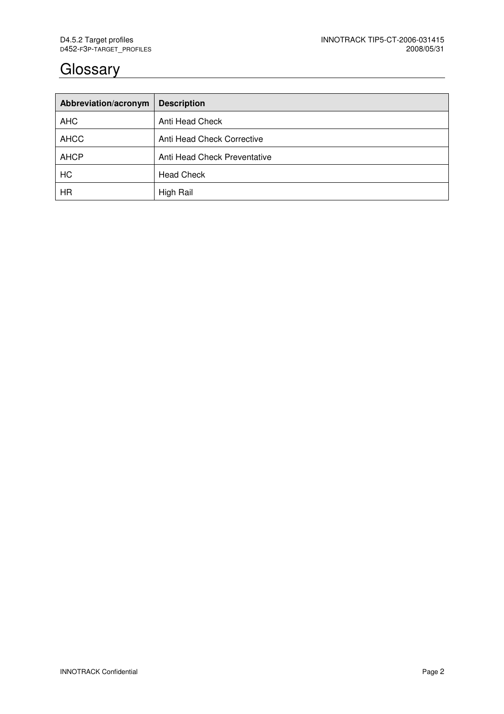## **Glossary**

| Abbreviation/acronym | <b>Description</b>           |
|----------------------|------------------------------|
| <b>AHC</b>           | Anti Head Check              |
| <b>AHCC</b>          | Anti Head Check Corrective   |
| <b>AHCP</b>          | Anti Head Check Preventative |
| HC                   | <b>Head Check</b>            |
| <b>HR</b>            | High Rail                    |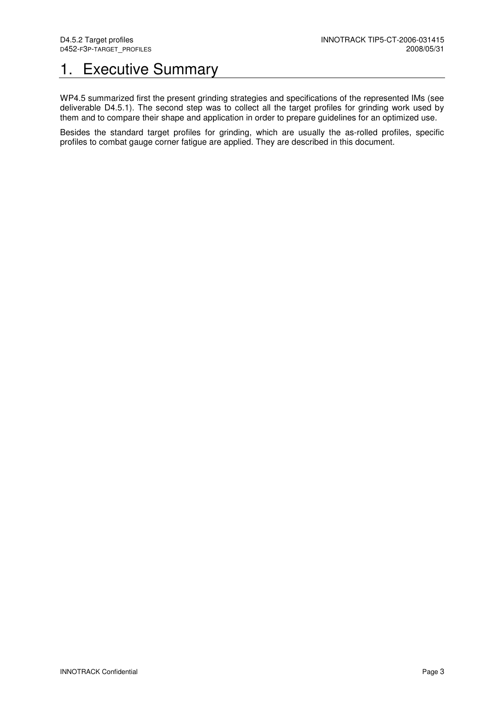# 1. Executive Summary

WP4.5 summarized first the present grinding strategies and specifications of the represented IMs (see deliverable D4.5.1). The second step was to collect all the target profiles for grinding work used by them and to compare their shape and application in order to prepare guidelines for an optimized use.

Besides the standard target profiles for grinding, which are usually the as-rolled profiles, specific profiles to combat gauge corner fatigue are applied. They are described in this document.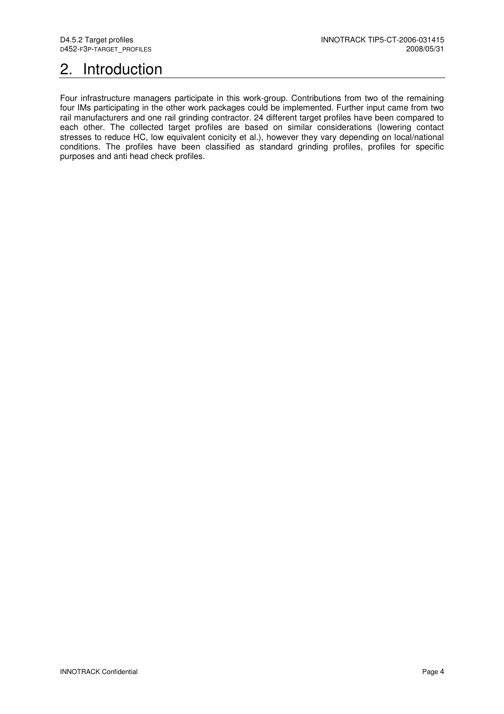# 2. Introduction

Four infrastructure managers participate in this work-group. Contributions from two of the remaining four IMs participating in the other work packages could be implemented. Further input came from two rail manufacturers and one rail grinding contractor. 24 different target profiles have been compared to each other. The collected target profiles are based on similar considerations (lowering contact stresses to reduce HC, low equivalent conicity et al.), however they vary depending on local/national conditions. The profiles have been classified as standard grinding profiles, profiles for specific purposes and anti head check profiles.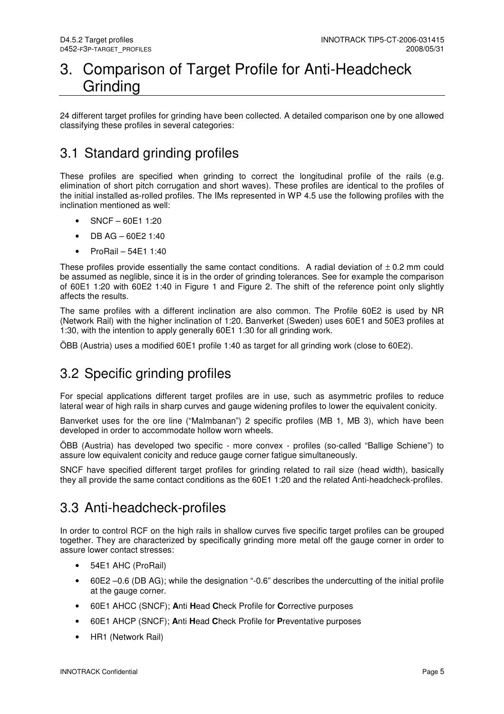## 3. Comparison of Target Profile for Anti-Headcheck Grinding

24 different target profiles for grinding have been collected. A detailed comparison one by one allowed classifying these profiles in several categories:

## 3.1 Standard grinding profiles

These profiles are specified when grinding to correct the longitudinal profile of the rails (e.g. elimination of short pitch corrugation and short waves). These profiles are identical to the profiles of the initial installed as-rolled profiles. The IMs represented in WP 4.5 use the following profiles with the inclination mentioned as well:

- SNCF 60E1 1:20
- DB AG 60E2 1:40
- ProRail  $54E11:40$

These profiles provide essentially the same contact conditions. A radial deviation of  $\pm$  0.2 mm could be assumed as neglible, since it is in the order of grinding tolerances. See for example the comparison of 60E1 1:20 with 60E2 1:40 in Figure 1 and Figure 2. The shift of the reference point only slightly affects the results.

The same profiles with a different inclination are also common. The Profile 60E2 is used by NR (Network Rail) with the higher inclination of 1:20. Banverket (Sweden) uses 60E1 and 50E3 profiles at 1:30, with the intention to apply generally 60E1 1:30 for all grinding work.

ÖBB (Austria) uses a modified 60E1 profile 1:40 as target for all grinding work (close to 60E2).

### 3.2 Specific grinding profiles

For special applications different target profiles are in use, such as asymmetric profiles to reduce lateral wear of high rails in sharp curves and gauge widening profiles to lower the equivalent conicity.

Banverket uses for the ore line ("Malmbanan") 2 specific profiles (MB 1, MB 3), which have been developed in order to accommodate hollow worn wheels.

ÖBB (Austria) has developed two specific - more convex - profiles (so-called "Ballige Schiene") to assure low equivalent conicity and reduce gauge corner fatigue simultaneously.

SNCF have specified different target profiles for grinding related to rail size (head width), basically they all provide the same contact conditions as the 60E1 1:20 and the related Anti-headcheck-profiles.

### 3.3 Anti-headcheck-profiles

In order to control RCF on the high rails in shallow curves five specific target profiles can be grouped together. They are characterized by specifically grinding more metal off the gauge corner in order to assure lower contact stresses:

- 54E1 AHC (ProRail)
- 60E2 –0.6 (DB AG); while the designation "-0.6" describes the undercutting of the initial profile at the gauge corner.
- 60E1 AHCC (SNCF); **A**nti **H**ead **C**heck Profile for **C**orrective purposes
- 60E1 AHCP (SNCF); **A**nti **H**ead **C**heck Profile for **P**reventative purposes
- HR1 (Network Rail)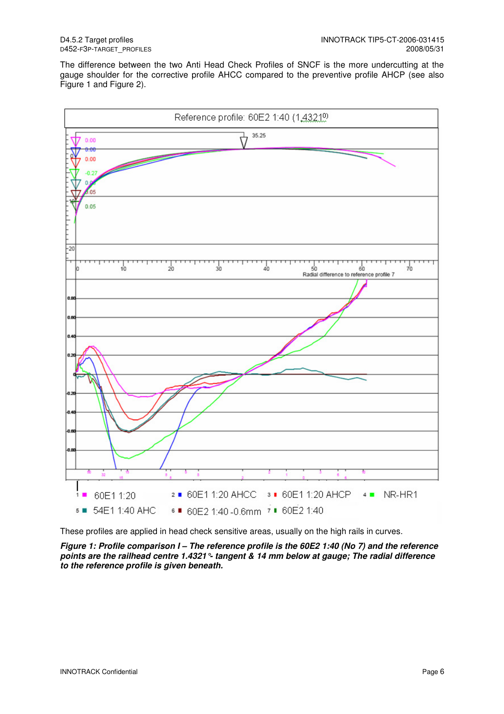The difference between the two Anti Head Check Profiles of SNCF is the more undercutting at the gauge shoulder for the corrective profile AHCC compared to the preventive profile AHCP (see also Figure 1 and Figure 2).



These profiles are applied in head check sensitive areas, usually on the high rails in curves.

**Figure 1: Profile comparison I – The reference profile is the 60E2 1:40 (No 7) and the reference points are the railhead centre 1.4321°- tangent & 14 mm below at gauge; The radial difference to the reference profile is given beneath.**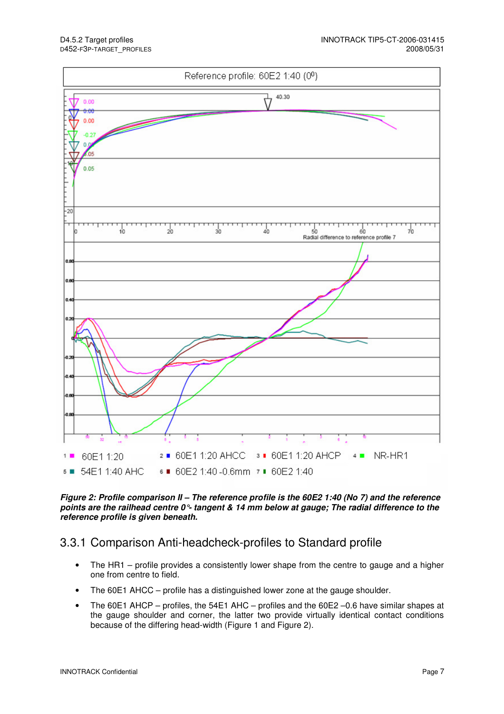

#### **Figure 2: Profile comparison II – The reference profile is the 60E2 1:40 (No 7) and the reference points are the railhead centre 0°- tangent & 14 mm below at gauge; The radial difference to the reference profile is given beneath.**

#### 3.3.1 Comparison Anti-headcheck-profiles to Standard profile

- The HR1 profile provides a consistently lower shape from the centre to gauge and a higher one from centre to field.
- The 60E1 AHCC profile has a distinguished lower zone at the gauge shoulder.
- The 60E1 AHCP profiles, the 54E1 AHC profiles and the 60E2 –0.6 have similar shapes at the gauge shoulder and corner, the latter two provide virtually identical contact conditions because of the differing head-width (Figure 1 and Figure 2).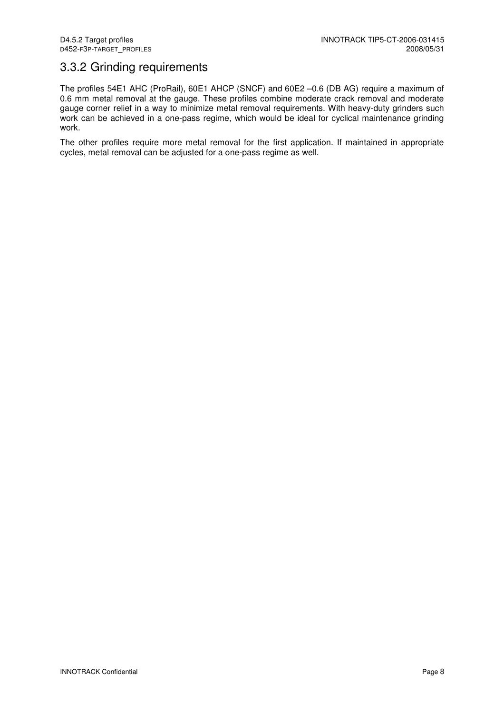#### 3.3.2 Grinding requirements

The profiles 54E1 AHC (ProRail), 60E1 AHCP (SNCF) and 60E2 –0.6 (DB AG) require a maximum of 0.6 mm metal removal at the gauge. These profiles combine moderate crack removal and moderate gauge corner relief in a way to minimize metal removal requirements. With heavy-duty grinders such work can be achieved in a one-pass regime, which would be ideal for cyclical maintenance grinding work.

The other profiles require more metal removal for the first application. If maintained in appropriate cycles, metal removal can be adjusted for a one-pass regime as well.